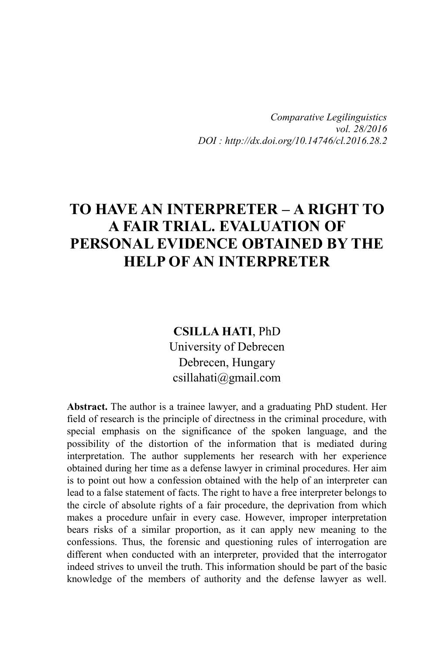*Comparative Legilinguistics vol. 28/2016 DOI : http://dx.doi.org/10.14746/cl.2016.28.2*

# **TO HAVE AN INTERPRETER – A RIGHT TO A FAIR TRIAL. EVALUATION OF PERSONAL EVIDENCE OBTAINED BY THE HELP OF AN INTERPRETER**

**CSILLA HATI**, PhD University of Debrecen Debrecen, Hungary csillahati@gmail.com

**Abstract.** The author is a trainee lawyer, and a graduating PhD student. Her field of research is the principle of directness in the criminal procedure, with special emphasis on the significance of the spoken language, and the possibility of the distortion of the information that is mediated during interpretation. The author supplements her research with her experience obtained during her time as a defense lawyer in criminal procedures. Her aim is to point out how a confession obtained with the help of an interpreter can lead to a false statement of facts. The right to have a free interpreter belongs to the circle of absolute rights of a fair procedure, the deprivation from which makes a procedure unfair in every case. However, improper interpretation bears risks of a similar proportion, as it can apply new meaning to the confessions. Thus, the forensic and questioning rules of interrogation are different when conducted with an interpreter, provided that the interrogator indeed strives to unveil the truth. This information should be part of the basic knowledge of the members of authority and the defense lawyer as well.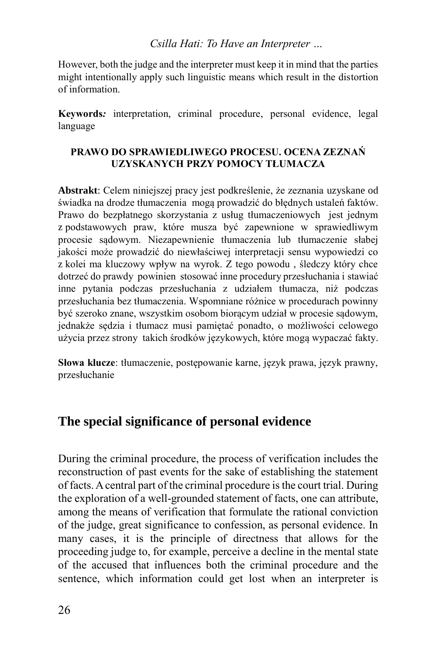However, both the judge and the interpreter must keep it in mind that the parties might intentionally apply such linguistic means which result in the distortion of information.

**Keywords***:* interpretation, criminal procedure, personal evidence, legal language

#### **PRAWO DO SPRAWIEDLIWEGO PROCESU. OCENA ZEZNAŃ UZYSKANYCH PRZY POMOCY TŁUMACZA**

**Abstrakt**: Celem niniejszej pracy jest podkreślenie, że zeznania uzyskane od świadka na drodze tłumaczenia mogą prowadzić do błędnych ustaleń faktów. Prawo do bezpłatnego skorzystania z usług tłumaczeniowych jest jednym z podstawowych praw, które musza być zapewnione w sprawiedliwym procesie sądowym. Niezapewnienie tłumaczenia lub tłumaczenie słabej jakości może prowadzić do niewłaściwej interpretacji sensu wypowiedzi co z kolei ma kluczowy wpływ na wyrok. Z tego powodu , śledczy który chce dotrzeć do prawdy powinien stosować inne procedury przesłuchania i stawiać inne pytania podczas przesłuchania z udziałem tłumacza, niż podczas przesłuchania bez tłumaczenia. Wspomniane różnice w procedurach powinny być szeroko znane, wszystkim osobom biorącym udział w procesie sądowym, jednakże sędzia i tłumacz musi pamiętać ponadto, o możliwości celowego użycia przez strony takich środków językowych, które mogą wypaczać fakty.

**Słowa klucze**: tłumaczenie, postępowanie karne, język prawa, język prawny, przesłuchanie

# **The special significance of personal evidence**

During the criminal procedure, the process of verification includes the reconstruction of past events for the sake of establishing the statement of facts. A central part of the criminal procedure is the court trial. During the exploration of a well-grounded statement of facts, one can attribute, among the means of verification that formulate the rational conviction of the judge, great significance to confession, as personal evidence. In many cases, it is the principle of directness that allows for the proceeding judge to, for example, perceive a decline in the mental state of the accused that influences both the criminal procedure and the sentence, which information could get lost when an interpreter is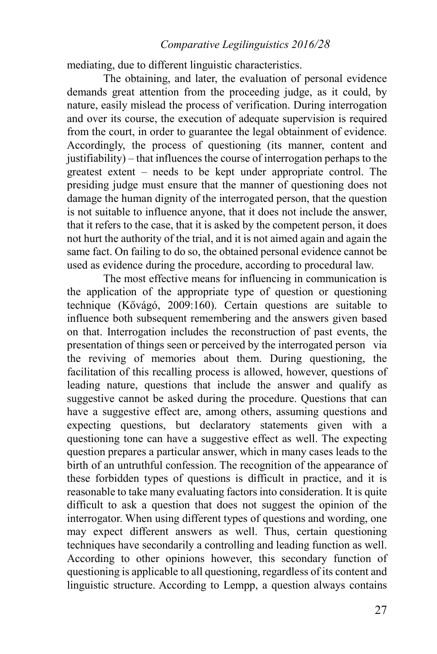#### *Comparative Legilinguistics 2016/28*

mediating, due to different linguistic characteristics.

The obtaining, and later, the evaluation of personal evidence demands great attention from the proceeding judge, as it could, by nature, easily mislead the process of verification. During interrogation and over its course, the execution of adequate supervision is required from the court, in order to guarantee the legal obtainment of evidence. Accordingly, the process of questioning (its manner, content and justifiability) – that influences the course of interrogation perhaps to the greatest extent – needs to be kept under appropriate control. The presiding judge must ensure that the manner of questioning does not damage the human dignity of the interrogated person, that the question is not suitable to influence anyone, that it does not include the answer, that it refers to the case, that it is asked by the competent person, it does not hurt the authority of the trial, and it is not aimed again and again the same fact. On failing to do so, the obtained personal evidence cannot be used as evidence during the procedure, according to procedural law.

The most effective means for influencing in communication is the application of the appropriate type of question or questioning technique (Kővágó, 2009:160). Certain questions are suitable to influence both subsequent remembering and the answers given based on that. Interrogation includes the reconstruction of past events, the presentation of things seen or perceived by the interrogated person via the reviving of memories about them. During questioning, the facilitation of this recalling process is allowed, however, questions of leading nature, questions that include the answer and qualify as suggestive cannot be asked during the procedure. Questions that can have a suggestive effect are, among others, assuming questions and expecting questions, but declaratory statements given with a questioning tone can have a suggestive effect as well. The expecting question prepares a particular answer, which in many cases leads to the birth of an untruthful confession. The recognition of the appearance of these forbidden types of questions is difficult in practice, and it is reasonable to take many evaluating factors into consideration. It is quite difficult to ask a question that does not suggest the opinion of the interrogator. When using different types of questions and wording, one may expect different answers as well. Thus, certain questioning techniques have secondarily a controlling and leading function as well. According to other opinions however, this secondary function of questioning is applicable to all questioning, regardless of its content and linguistic structure. According to Lempp, a question always contains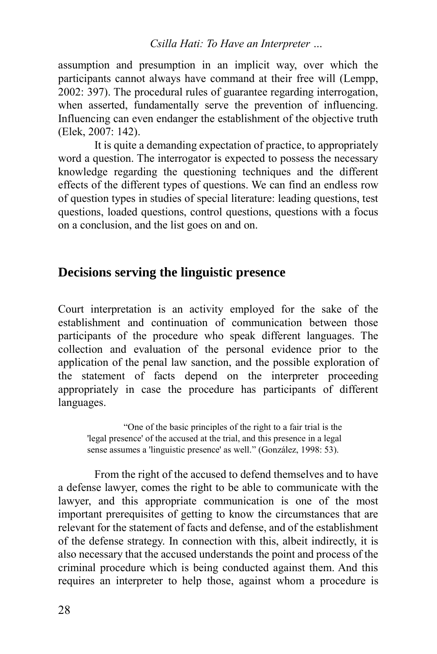assumption and presumption in an implicit way, over which the participants cannot always have command at their free will (Lempp, 2002: 397). The procedural rules of guarantee regarding interrogation, when asserted, fundamentally serve the prevention of influencing. Influencing can even endanger the establishment of the objective truth (Elek, 2007: 142).

It is quite a demanding expectation of practice, to appropriately word a question. The interrogator is expected to possess the necessary knowledge regarding the questioning techniques and the different effects of the different types of questions. We can find an endless row of question types in studies of special literature: leading questions, test questions, loaded questions, control questions, questions with a focus on a conclusion, and the list goes on and on.

### **Decisions serving the linguistic presence**

Court interpretation is an activity employed for the sake of the establishment and continuation of communication between those participants of the procedure who speak different languages. The collection and evaluation of the personal evidence prior to the application of the penal law sanction, and the possible exploration of the statement of facts depend on the interpreter proceeding appropriately in case the procedure has participants of different languages.

"One of the basic principles of the right to a fair trial is the 'legal presence' of the accused at the trial, and this presence in a legal sense assumes a 'linguistic presence' as well." (González, 1998: 53).

From the right of the accused to defend themselves and to have a defense lawyer, comes the right to be able to communicate with the lawyer, and this appropriate communication is one of the most important prerequisites of getting to know the circumstances that are relevant for the statement of facts and defense, and of the establishment of the defense strategy. In connection with this, albeit indirectly, it is also necessary that the accused understands the point and process of the criminal procedure which is being conducted against them. And this requires an interpreter to help those, against whom a procedure is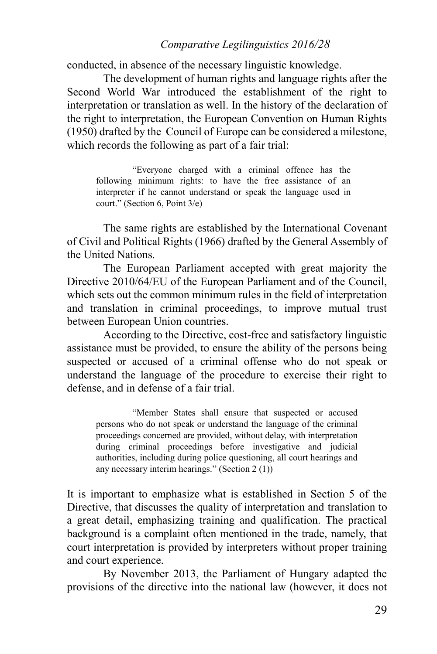### *Comparative Legilinguistics 2016/28*

conducted, in absence of the necessary linguistic knowledge.

The development of human rights and language rights after the Second World War introduced the establishment of the right to interpretation or translation as well. In the history of the declaration of the right to interpretation, the European Convention on Human Rights (1950) drafted by the Council of Europe can be considered a milestone, which records the following as part of a fair trial:

"Everyone charged with a criminal offence has the following minimum rights: to have the free assistance of an interpreter if he cannot understand or speak the language used in court." (Section 6, Point 3/e)

The same rights are established by the International Covenant of Civil and Political Rights (1966) drafted by the General Assembly of the United Nations.

The European Parliament accepted with great majority the Directive 2010/64/EU of the European Parliament and of the Council, which sets out the common minimum rules in the field of interpretation and translation in criminal proceedings, to improve mutual trust between European Union countries.

According to the Directive, cost-free and satisfactory linguistic assistance must be provided, to ensure the ability of the persons being suspected or accused of a criminal offense who do not speak or understand the language of the procedure to exercise their right to defense, and in defense of a fair trial.

"Member States shall ensure that suspected or accused persons who do not speak or understand the language of the criminal proceedings concerned are provided, without delay, with interpretation during criminal proceedings before investigative and judicial authorities, including during police questioning, all court hearings and any necessary interim hearings." (Section 2 (1))

It is important to emphasize what is established in Section 5 of the Directive, that discusses the quality of interpretation and translation to a great detail, emphasizing training and qualification. The practical background is a complaint often mentioned in the trade, namely, that court interpretation is provided by interpreters without proper training and court experience.

By November 2013, the Parliament of Hungary adapted the provisions of the directive into the national law (however, it does not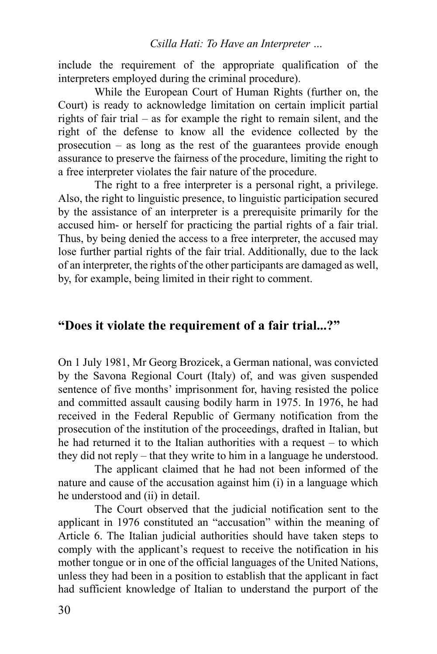include the requirement of the appropriate qualification of the interpreters employed during the criminal procedure).

While the European Court of Human Rights (further on, the Court) is ready to acknowledge limitation on certain implicit partial rights of fair trial – as for example the right to remain silent, and the right of the defense to know all the evidence collected by the prosecution – as long as the rest of the guarantees provide enough assurance to preserve the fairness of the procedure, limiting the right to a free interpreter violates the fair nature of the procedure.

The right to a free interpreter is a personal right, a privilege. Also, the right to linguistic presence, to linguistic participation secured by the assistance of an interpreter is a prerequisite primarily for the accused him- or herself for practicing the partial rights of a fair trial. Thus, by being denied the access to a free interpreter, the accused may lose further partial rights of the fair trial. Additionally, due to the lack of an interpreter, the rights of the other participants are damaged as well, by, for example, being limited in their right to comment.

# **"Does it violate the requirement of a fair trial...?"**

On 1 July 1981, Mr Georg Brozicek, a German national, was convicted by the Savona Regional Court (Italy) of, and was given suspended sentence of five months' imprisonment for, having resisted the police and committed assault causing bodily harm in 1975. In 1976, he had received in the Federal Republic of Germany notification from the prosecution of the institution of the proceedings, drafted in Italian, but he had returned it to the Italian authorities with a request – to which they did not reply – that they write to him in a language he understood.

The applicant claimed that he had not been informed of the nature and cause of the accusation against him (i) in a language which he understood and (ii) in detail.

The Court observed that the judicial notification sent to the applicant in 1976 constituted an "accusation" within the meaning of Article 6. The Italian judicial authorities should have taken steps to comply with the applicant's request to receive the notification in his mother tongue or in one of the official languages of the United Nations, unless they had been in a position to establish that the applicant in fact had sufficient knowledge of Italian to understand the purport of the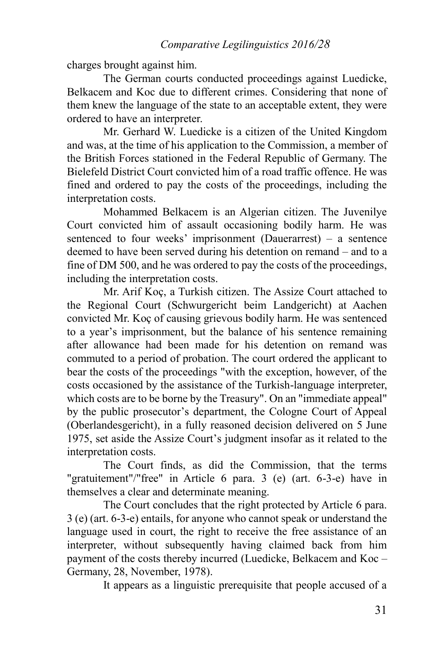charges brought against him.

The German courts conducted proceedings against Luedicke, Belkacem and Koc due to different crimes. Considering that none of them knew the language of the state to an acceptable extent, they were ordered to have an interpreter.

Mr. Gerhard W. Luedicke is a citizen of the United Kingdom and was, at the time of his application to the Commission, a member of the British Forces stationed in the Federal Republic of Germany. The Bielefeld District Court convicted him of a road traffic offence. He was fined and ordered to pay the costs of the proceedings, including the interpretation costs.

Mohammed Belkacem is an Algerian citizen. The Juvenilye Court convicted him of assault occasioning bodily harm. He was sentenced to four weeks' imprisonment (Dauerarrest) – a sentence deemed to have been served during his detention on remand – and to a fine of DM 500, and he was ordered to pay the costs of the proceedings, including the interpretation costs.

Mr. Arif Koç, a Turkish citizen. The Assize Court attached to the Regional Court (Schwurgericht beim Landgericht) at Aachen convicted Mr. Koç of causing grievous bodily harm. He was sentenced to a year's imprisonment, but the balance of his sentence remaining after allowance had been made for his detention on remand was commuted to a period of probation. The court ordered the applicant to bear the costs of the proceedings "with the exception, however, of the costs occasioned by the assistance of the Turkish-language interpreter, which costs are to be borne by the Treasury". On an "immediate appeal" by the public prosecutor's department, the Cologne Court of Appeal (Oberlandesgericht), in a fully reasoned decision delivered on 5 June 1975, set aside the Assize Court's judgment insofar as it related to the interpretation costs.

The Court finds, as did the Commission, that the terms "gratuitement"/"free" in Article 6 para. 3 (e) (art. 6-3-e) have in themselves a clear and determinate meaning.

The Court concludes that the right protected by Article 6 para. 3 (e) (art. 6-3-e) entails, for anyone who cannot speak or understand the language used in court, the right to receive the free assistance of an interpreter, without subsequently having claimed back from him payment of the costs thereby incurred (Luedicke, Belkacem and Koc – Germany, 28, November, 1978).

It appears as a linguistic prerequisite that people accused of a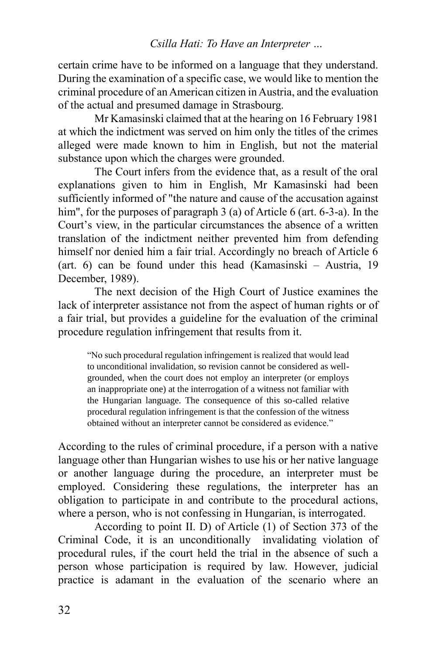certain crime have to be informed on a language that they understand. During the examination of a specific case, we would like to mention the criminal procedure of an American citizen in Austria, and the evaluation of the actual and presumed damage in Strasbourg.

Mr Kamasinski claimed that at the hearing on 16 February 1981 at which the indictment was served on him only the titles of the crimes alleged were made known to him in English, but not the material substance upon which the charges were grounded.

The Court infers from the evidence that, as a result of the oral explanations given to him in English, Mr Kamasinski had been sufficiently informed of "the nature and cause of the accusation against him", for the purposes of paragraph 3 (a) of Article 6 (art. 6-3-a). In the Court's view, in the particular circumstances the absence of a written translation of the indictment neither prevented him from defending himself nor denied him a fair trial. Accordingly no breach of Article 6 (art. 6) can be found under this head (Kamasinski – Austria, 19 December, 1989).

The next decision of the High Court of Justice examines the lack of interpreter assistance not from the aspect of human rights or of a fair trial, but provides a guideline for the evaluation of the criminal procedure regulation infringement that results from it.

"No such procedural regulation infringement is realized that would lead to unconditional invalidation, so revision cannot be considered as wellgrounded, when the court does not employ an interpreter (or employs an inappropriate one) at the interrogation of a witness not familiar with the Hungarian language. The consequence of this so-called relative procedural regulation infringement is that the confession of the witness obtained without an interpreter cannot be considered as evidence."

According to the rules of criminal procedure, if a person with a native language other than Hungarian wishes to use his or her native language or another language during the procedure, an interpreter must be employed. Considering these regulations, the interpreter has an obligation to participate in and contribute to the procedural actions, where a person, who is not confessing in Hungarian, is interrogated.

According to point II. D) of Article (1) of Section 373 of the Criminal Code, it is an unconditionally invalidating violation of procedural rules, if the court held the trial in the absence of such a person whose participation is required by law. However, judicial practice is adamant in the evaluation of the scenario where an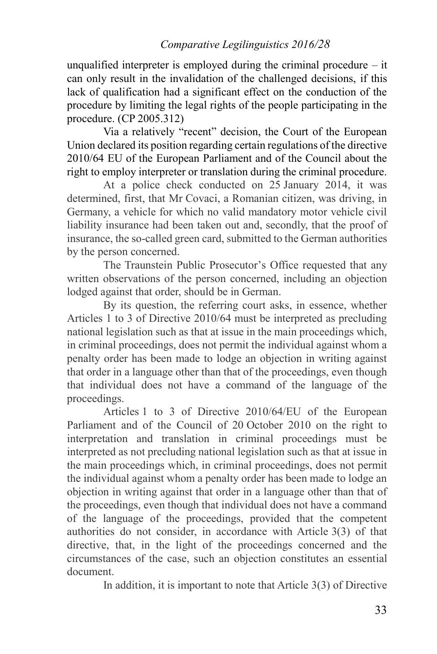unqualified interpreter is employed during the criminal procedure  $-$  it can only result in the invalidation of the challenged decisions, if this lack of qualification had a significant effect on the conduction of the procedure by limiting the legal rights of the people participating in the procedure. (CP 2005.312)

Via a relatively "recent" decision, the Court of the European Union declared its position regarding certain regulations of the directive 2010/64 EU of the European Parliament and of the Council about the right to employ interpreter or translation during the criminal procedure.

At a police check conducted on 25 January 2014, it was determined, first, that Mr Covaci, a Romanian citizen, was driving, in Germany, a vehicle for which no valid mandatory motor vehicle civil liability insurance had been taken out and, secondly, that the proof of insurance, the so-called green card, submitted to the German authorities by the person concerned.

The Traunstein Public Prosecutor's Office requested that any written observations of the person concerned, including an objection lodged against that order, should be in German.

By its question, the referring court asks, in essence, whether Articles 1 to 3 of Directive 2010/64 must be interpreted as precluding national legislation such as that at issue in the main proceedings which, in criminal proceedings, does not permit the individual against whom a penalty order has been made to lodge an objection in writing against that order in a language other than that of the proceedings, even though that individual does not have a command of the language of the proceedings.

Articles 1 to 3 of Directive 2010/64/EU of the European Parliament and of the Council of 20 October 2010 on the right to interpretation and translation in criminal proceedings must be interpreted as not precluding national legislation such as that at issue in the main proceedings which, in criminal proceedings, does not permit the individual against whom a penalty order has been made to lodge an objection in writing against that order in a language other than that of the proceedings, even though that individual does not have a command of the language of the proceedings, provided that the competent authorities do not consider, in accordance with Article 3(3) of that directive, that, in the light of the proceedings concerned and the circumstances of the case, such an objection constitutes an essential document.

In addition, it is important to note that Article 3(3) of Directive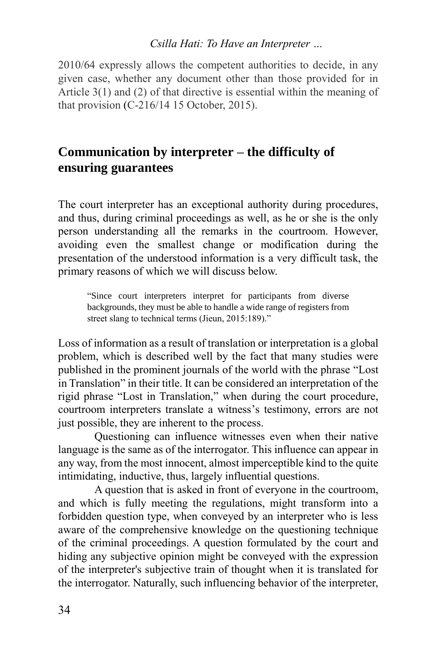2010/64 expressly allows the competent authorities to decide, in any given case, whether any document other than those provided for in Article 3(1) and (2) of that directive is essential within the meaning of that provision (C-216/14 15 October, 2015).

# **Communication by interpreter – the difficulty of ensuring guarantees**

The court interpreter has an exceptional authority during procedures, and thus, during criminal proceedings as well, as he or she is the only person understanding all the remarks in the courtroom. However, avoiding even the smallest change or modification during the presentation of the understood information is a very difficult task, the primary reasons of which we will discuss below.

"Since court interpreters interpret for participants from diverse backgrounds, they must be able to handle a wide range of registers from street slang to technical terms (Jieun, 2015:189)."

Loss of information as a result of translation or interpretation is a global problem, which is described well by the fact that many studies were published in the prominent journals of the world with the phrase "Lost in Translation" in their title. It can be considered an interpretation of the rigid phrase "Lost in Translation," when during the court procedure, courtroom interpreters translate a witness's testimony, errors are not just possible, they are inherent to the process.

Questioning can influence witnesses even when their native language is the same as of the interrogator. This influence can appear in any way, from the most innocent, almost imperceptible kind to the quite intimidating, inductive, thus, largely influential questions.

A question that is asked in front of everyone in the courtroom, and which is fully meeting the regulations, might transform into a forbidden question type, when conveyed by an interpreter who is less aware of the comprehensive knowledge on the questioning technique of the criminal proceedings. A question formulated by the court and hiding any subjective opinion might be conveyed with the expression of the interpreter's subjective train of thought when it is translated for the interrogator. Naturally, such influencing behavior of the interpreter,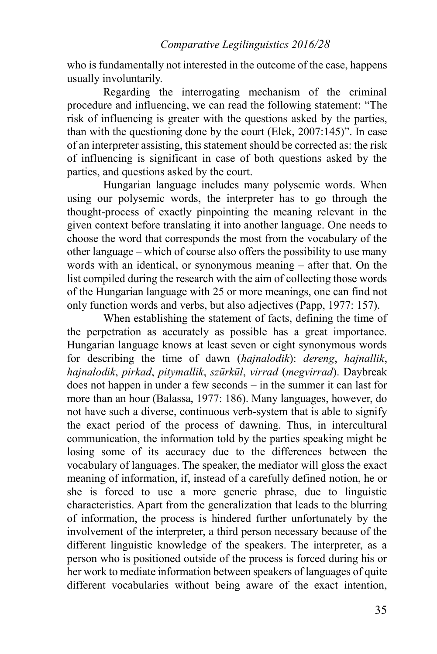who is fundamentally not interested in the outcome of the case, happens usually involuntarily.

Regarding the interrogating mechanism of the criminal procedure and influencing, we can read the following statement: "The risk of influencing is greater with the questions asked by the parties, than with the questioning done by the court (Elek, 2007:145)". In case of an interpreter assisting, this statement should be corrected as: the risk of influencing is significant in case of both questions asked by the parties, and questions asked by the court.

Hungarian language includes many polysemic words. When using our polysemic words, the interpreter has to go through the thought-process of exactly pinpointing the meaning relevant in the given context before translating it into another language. One needs to choose the word that corresponds the most from the vocabulary of the other language – which of course also offers the possibility to use many words with an identical, or synonymous meaning – after that. On the list compiled during the research with the aim of collecting those words of the Hungarian language with 25 or more meanings, one can find not only function words and verbs, but also adjectives (Papp, 1977: 157).

When establishing the statement of facts, defining the time of the perpetration as accurately as possible has a great importance. Hungarian language knows at least seven or eight synonymous words for describing the time of dawn (*hajnalodik*): *dereng*, *hajnallik*, *hajnalodik*, *pirkad*, *pitymallik*, *szürkül*, *virrad* (*megvirrad*). Daybreak does not happen in under a few seconds – in the summer it can last for more than an hour (Balassa, 1977: 186). Many languages, however, do not have such a diverse, continuous verb-system that is able to signify the exact period of the process of dawning. Thus, in intercultural communication, the information told by the parties speaking might be losing some of its accuracy due to the differences between the vocabulary of languages. The speaker, the mediator will gloss the exact meaning of information, if, instead of a carefully defined notion, he or she is forced to use a more generic phrase, due to linguistic characteristics. Apart from the generalization that leads to the blurring of information, the process is hindered further unfortunately by the involvement of the interpreter, a third person necessary because of the different linguistic knowledge of the speakers. The interpreter, as a person who is positioned outside of the process is forced during his or her work to mediate information between speakers of languages of quite different vocabularies without being aware of the exact intention,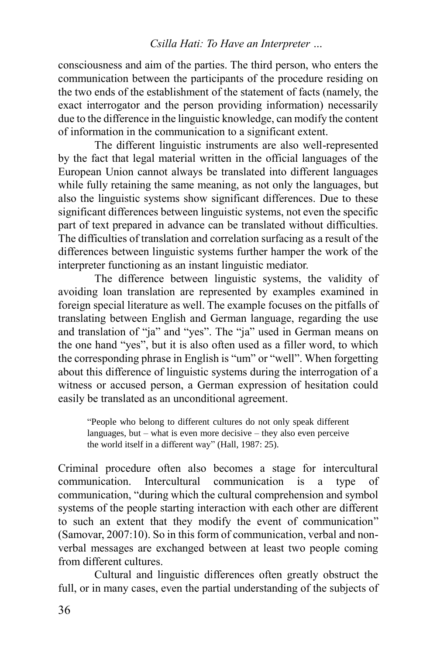consciousness and aim of the parties. The third person, who enters the communication between the participants of the procedure residing on the two ends of the establishment of the statement of facts (namely, the exact interrogator and the person providing information) necessarily due to the difference in the linguistic knowledge, can modify the content of information in the communication to a significant extent.

The different linguistic instruments are also well-represented by the fact that legal material written in the official languages of the European Union cannot always be translated into different languages while fully retaining the same meaning, as not only the languages, but also the linguistic systems show significant differences. Due to these significant differences between linguistic systems, not even the specific part of text prepared in advance can be translated without difficulties. The difficulties of translation and correlation surfacing as a result of the differences between linguistic systems further hamper the work of the interpreter functioning as an instant linguistic mediator.

The difference between linguistic systems, the validity of avoiding loan translation are represented by examples examined in foreign special literature as well. The example focuses on the pitfalls of translating between English and German language, regarding the use and translation of "ja" and "yes". The "ja" used in German means on the one hand "yes", but it is also often used as a filler word, to which the corresponding phrase in English is "um" or "well". When forgetting about this difference of linguistic systems during the interrogation of a witness or accused person, a German expression of hesitation could easily be translated as an unconditional agreement.

"People who belong to different cultures do not only speak different languages, but  $-$  what is even more decisive  $-$  they also even perceive the world itself in a different way" (Hall, 1987: 25).

Criminal procedure often also becomes a stage for intercultural communication. Intercultural communication is a type of communication, "during which the cultural comprehension and symbol systems of the people starting interaction with each other are different to such an extent that they modify the event of communication" (Samovar, 2007:10). So in this form of communication, verbal and nonverbal messages are exchanged between at least two people coming from different cultures.

Cultural and linguistic differences often greatly obstruct the full, or in many cases, even the partial understanding of the subjects of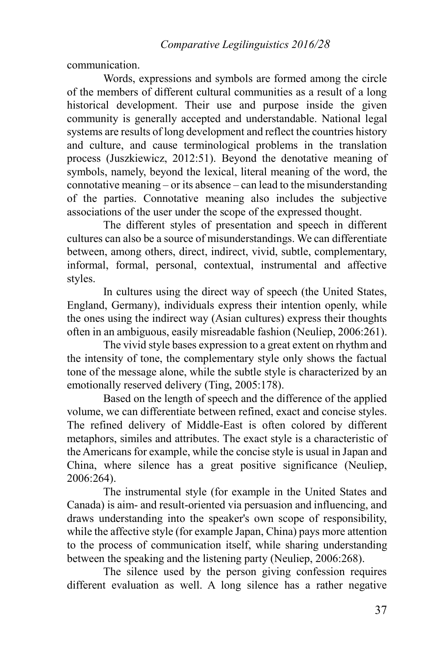communication.

Words, expressions and symbols are formed among the circle of the members of different cultural communities as a result of a long historical development. Their use and purpose inside the given community is generally accepted and understandable. National legal systems are results of long development and reflect the countries history and culture, and cause terminological problems in the translation process (Juszkiewicz, 2012:51). Beyond the denotative meaning of symbols, namely, beyond the lexical, literal meaning of the word, the connotative meaning – or its absence – can lead to the misunderstanding of the parties. Connotative meaning also includes the subjective associations of the user under the scope of the expressed thought.

The different styles of presentation and speech in different cultures can also be a source of misunderstandings. We can differentiate between, among others, direct, indirect, vivid, subtle, complementary, informal, formal, personal, contextual, instrumental and affective styles.

In cultures using the direct way of speech (the United States, England, Germany), individuals express their intention openly, while the ones using the indirect way (Asian cultures) express their thoughts often in an ambiguous, easily misreadable fashion (Neuliep, 2006:261).

The vivid style bases expression to a great extent on rhythm and the intensity of tone, the complementary style only shows the factual tone of the message alone, while the subtle style is characterized by an emotionally reserved delivery (Ting, 2005:178).

Based on the length of speech and the difference of the applied volume, we can differentiate between refined, exact and concise styles. The refined delivery of Middle-East is often colored by different metaphors, similes and attributes. The exact style is a characteristic of the Americans for example, while the concise style is usual in Japan and China, where silence has a great positive significance (Neuliep, 2006:264).

The instrumental style (for example in the United States and Canada) is aim- and result-oriented via persuasion and influencing, and draws understanding into the speaker's own scope of responsibility, while the affective style (for example Japan, China) pays more attention to the process of communication itself, while sharing understanding between the speaking and the listening party (Neuliep, 2006:268).

The silence used by the person giving confession requires different evaluation as well. A long silence has a rather negative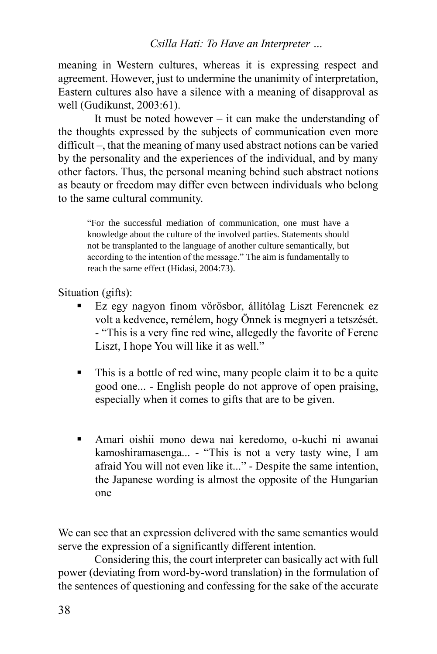meaning in Western cultures, whereas it is expressing respect and agreement. However, just to undermine the unanimity of interpretation, Eastern cultures also have a silence with a meaning of disapproval as well (Gudikunst, 2003:61).

It must be noted however – it can make the understanding of the thoughts expressed by the subjects of communication even more difficult –, that the meaning of many used abstract notions can be varied by the personality and the experiences of the individual, and by many other factors. Thus, the personal meaning behind such abstract notions as beauty or freedom may differ even between individuals who belong to the same cultural community.

"For the successful mediation of communication, one must have a knowledge about the culture of the involved parties. Statements should not be transplanted to the language of another culture semantically, but according to the intention of the message." The aim is fundamentally to reach the same effect (Hidasi, 2004:73).

Situation (gifts):

- Ez egy nagyon finom vörösbor, állítólag Liszt Ferencnek ez volt a kedvence, remélem, hogy Önnek is megnyeri a tetszését. - "This is a very fine red wine, allegedly the favorite of Ferenc Liszt, I hope You will like it as well."
- This is a bottle of red wine, many people claim it to be a quite good one... - English people do not approve of open praising, especially when it comes to gifts that are to be given.
- Amari oishii mono dewa nai keredomo, o-kuchi ni awanai kamoshiramasenga... - "This is not a very tasty wine, I am afraid You will not even like it..." - Despite the same intention, the Japanese wording is almost the opposite of the Hungarian one

We can see that an expression delivered with the same semantics would serve the expression of a significantly different intention.

Considering this, the court interpreter can basically act with full power (deviating from word-by-word translation) in the formulation of the sentences of questioning and confessing for the sake of the accurate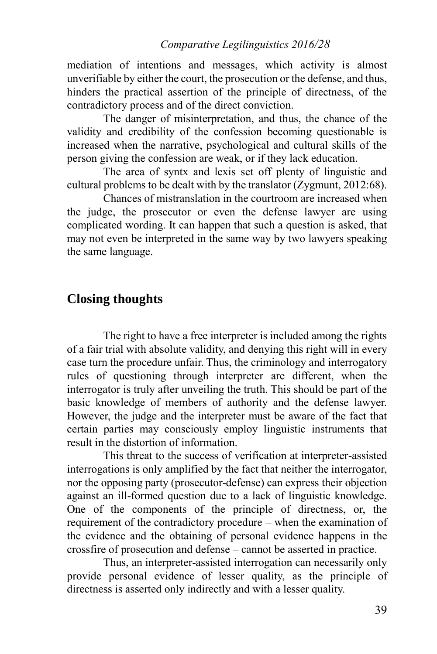mediation of intentions and messages, which activity is almost unverifiable by either the court, the prosecution or the defense, and thus, hinders the practical assertion of the principle of directness, of the contradictory process and of the direct conviction.

The danger of misinterpretation, and thus, the chance of the validity and credibility of the confession becoming questionable is increased when the narrative, psychological and cultural skills of the person giving the confession are weak, or if they lack education.

The area of syntx and lexis set off plenty of linguistic and cultural problems to be dealt with by the translator (Zygmunt, 2012:68).

Chances of mistranslation in the courtroom are increased when the judge, the prosecutor or even the defense lawyer are using complicated wording. It can happen that such a question is asked, that may not even be interpreted in the same way by two lawyers speaking the same language.

# **Closing thoughts**

The right to have a free interpreter is included among the rights of a fair trial with absolute validity, and denying this right will in every case turn the procedure unfair. Thus, the criminology and interrogatory rules of questioning through interpreter are different, when the interrogator is truly after unveiling the truth. This should be part of the basic knowledge of members of authority and the defense lawyer. However, the judge and the interpreter must be aware of the fact that certain parties may consciously employ linguistic instruments that result in the distortion of information.

This threat to the success of verification at interpreter-assisted interrogations is only amplified by the fact that neither the interrogator, nor the opposing party (prosecutor-defense) can express their objection against an ill-formed question due to a lack of linguistic knowledge. One of the components of the principle of directness, or, the requirement of the contradictory procedure – when the examination of the evidence and the obtaining of personal evidence happens in the crossfire of prosecution and defense – cannot be asserted in practice.

Thus, an interpreter-assisted interrogation can necessarily only provide personal evidence of lesser quality, as the principle of directness is asserted only indirectly and with a lesser quality.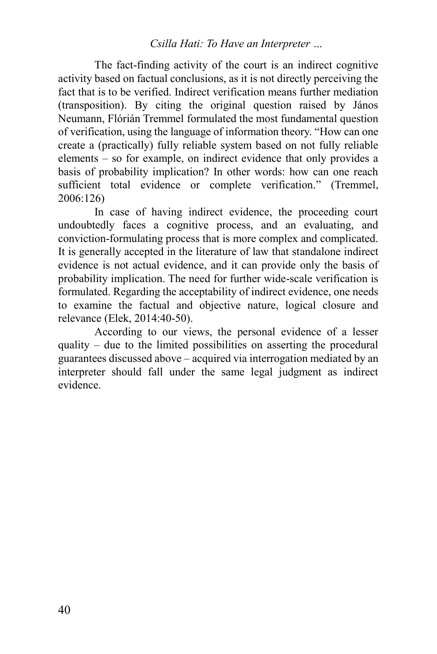The fact-finding activity of the court is an indirect cognitive activity based on factual conclusions, as it is not directly perceiving the fact that is to be verified. Indirect verification means further mediation (transposition). By citing the original question raised by János Neumann, Flórián Tremmel formulated the most fundamental question of verification, using the language of information theory. "How can one create a (practically) fully reliable system based on not fully reliable elements – so for example, on indirect evidence that only provides a basis of probability implication? In other words: how can one reach sufficient total evidence or complete verification." (Tremmel, 2006:126)

In case of having indirect evidence, the proceeding court undoubtedly faces a cognitive process, and an evaluating, and conviction-formulating process that is more complex and complicated. It is generally accepted in the literature of law that standalone indirect evidence is not actual evidence, and it can provide only the basis of probability implication. The need for further wide-scale verification is formulated. Regarding the acceptability of indirect evidence, one needs to examine the factual and objective nature, logical closure and relevance (Elek, 2014:40-50).

According to our views, the personal evidence of a lesser quality – due to the limited possibilities on asserting the procedural guarantees discussed above – acquired via interrogation mediated by an interpreter should fall under the same legal judgment as indirect evidence.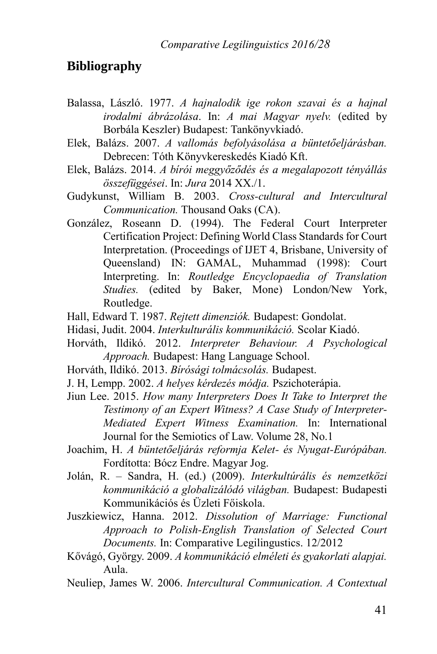# **Bibliography**

- Balassa, László. 1977. *A hajnalodik ige rokon szavai és a hajnal irodalmi ábrázolása*. In: *A mai Magyar nyelv.* (edited by Borbála Keszler) Budapest: Tankönyvkiadó.
- Elek, Balázs. 2007. *A vallomás befolyásolása a büntetőeljárásban.*  Debrecen: Tóth Könyvkereskedés Kiadó Kft.
- Elek, Balázs. 2014. *A bírói meggyőződés és a megalapozott tényállás összefüggései*. In: *Jura* 2014 XX./1.
- Gudykunst, William B. 2003. *Cross-cultural and Intercultural Communication.* Thousand Oaks (CA).
- González, Roseann D. (1994). The Federal Court Interpreter Certification Project: Defining World Class Standards for Court Interpretation. (Proceedings of IJET 4, Brisbane, University of Queensland) IN: GAMAL, Muhammad (1998): Court Interpreting. In: *Routledge Encyclopaedia of Translation Studies.* (edited by Baker, Mone) London/New York, Routledge.
- Hall, Edward T. 1987. *Rejtett dimenziók.* Budapest: Gondolat.
- Hidasi, Judit. 2004. *Interkulturális kommunikáció.* Scolar Kiadó.
- Horváth, Ildikó. 2012. *Interpreter Behaviour. A Psychological Approach.* Budapest: Hang Language School.
- Horváth, Ildikó. 2013. *Bírósági tolmácsolás.* Budapest.
- J. H, Lempp. 2002. *A helyes kérdezés módja.* Pszichoterápia.
- Jiun Lee. 2015. *How many Interpreters Does It Take to Interpret the Testimony of an Expert Witness? A Case Study of Interpreter-Mediated Expert Witness Examination.* In: International Journal for the Semiotics of Law. Volume 28, No.1
- Joachim, H. *A büntetőeljárás reformja Kelet- és Nyugat-Európában.*  Fordította: Bócz Endre. Magyar Jog.
- Jolán, R. Sandra, H. (ed.) (2009). *Interkultúrális és nemzetközi kommunikáció a globalizálódó világban.* Budapest: Budapesti Kommunikációs és Üzleti Főiskola.
- Juszkiewicz, Hanna. 2012. *Dissolution of Marriage: Functional Approach to Polish-English Translation of Selected Court Documents.* In: Comparative Legilingustics. 12/2012
- Kővágó, György. 2009. *A kommunikáció elméleti és gyakorlati alapjai.* Aula.
- Neuliep, James W. 2006. *Intercultural Communication. A Contextual*